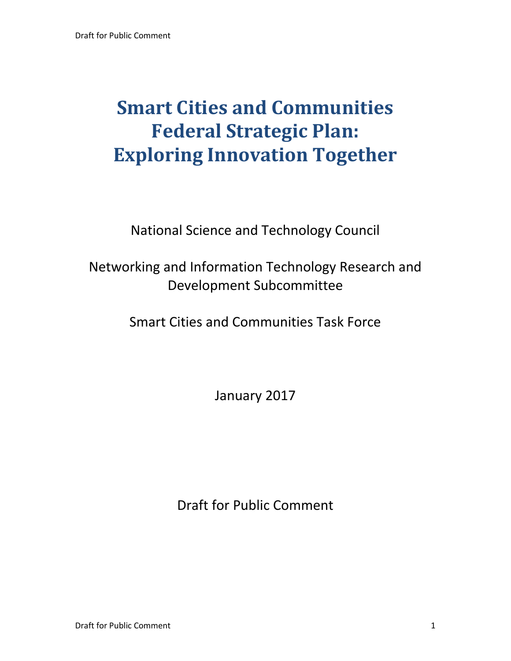# **Smart Cities and Communities Federal Strategic Plan: Exploring Innovation Together**

National Science and Technology Council

## Networking and Information Technology Research and Development Subcommittee

Smart Cities and Communities Task Force

January 2017

Draft for Public Comment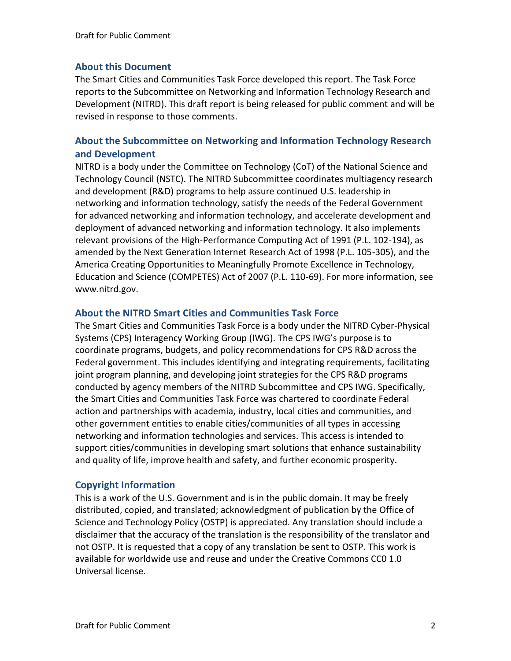#### **About this Document**

The Smart Cities and Communities Task Force developed this report. The Task Force reports to the Subcommittee on Networking and Information Technology Research and Development (NITRD). This draft report is being released for public comment and will be revised in response to those comments.

#### **About the Subcommittee on Networking and Information Technology Research and Development**

NITRD is a body under the Committee on Technology (CoT) of the National Science and Technology Council (NSTC). The NITRD Subcommittee coordinates multiagency research and development (R&D) programs to help assure continued U.S. leadership in networking and information technology, satisfy the needs of the Federal Government for advanced networking and information technology, and accelerate development and deployment of advanced networking and information technology. It also implements relevant provisions of the High-Performance Computing Act of 1991 (P.L. 102-194), as amended by the Next Generation Internet Research Act of 1998 (P.L. 105-305), and the America Creating Opportunities to Meaningfully Promote Excellence in Technology, Education and Science (COMPETES) Act of 2007 (P.L. 110-69). For more information, see www.nitrd.gov.

#### **About the NITRD Smart Cities and Communities Task Force**

The Smart Cities and Communities Task Force is a body under the NITRD Cyber-Physical Systems (CPS) Interagency Working Group (IWG). The CPS IWG's purpose is to coordinate programs, budgets, and policy recommendations for CPS R&D across the Federal government. This includes identifying and integrating requirements, facilitating joint program planning, and developing joint strategies for the CPS R&D programs conducted by agency members of the NITRD Subcommittee and CPS IWG. Specifically, the Smart Cities and Communities Task Force was chartered to coordinate Federal action and partnerships with academia, industry, local cities and communities, and other government entities to enable cities/communities of all types in accessing networking and information technologies and services. This access is intended to support cities/communities in developing smart solutions that enhance sustainability and quality of life, improve health and safety, and further economic prosperity.

#### **Copyright Information**

This is a work of the U.S. Government and is in the public domain. It may be freely distributed, copied, and translated; acknowledgment of publication by the Office of Science and Technology Policy (OSTP) is appreciated. Any translation should include a disclaimer that the accuracy of the translation is the responsibility of the translator and not OSTP. It is requested that a copy of any translation be sent to OSTP. This work is available for worldwide use and reuse and under the Creative Commons CC0 1.0 Universal license.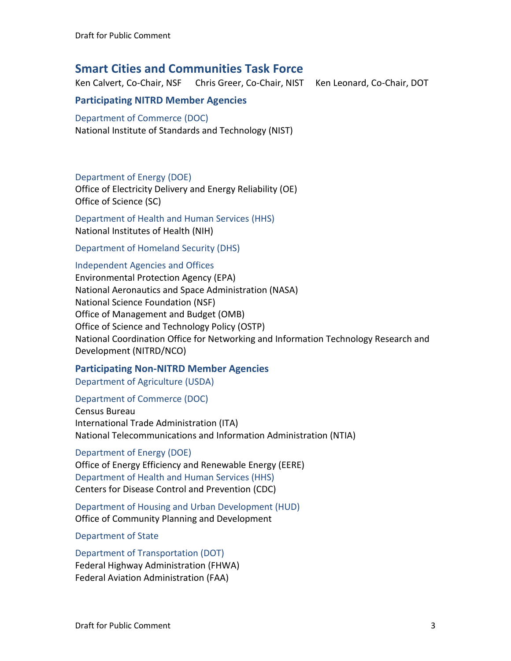## **Smart Cities and Communities Task Force**

Ken Calvert, Co-Chair, NSF Chris Greer, Co-Chair, NIST Ken Leonard, Co-Chair, DOT

#### **Participating NITRD Member Agencies**

### Department of Commerce (DOC)

National Institute of Standards and Technology (NIST)

#### Department of Energy (DOE)

Office of Electricity Delivery and Energy Reliability (OE) Office of Science (SC)

Department of Health and Human Services (HHS) National Institutes of Health (NIH)

Department of Homeland Security (DHS)

#### Independent Agencies and Offices

Environmental Protection Agency (EPA) National Aeronautics and Space Administration (NASA) National Science Foundation (NSF) Office of Management and Budget (OMB) Office of Science and Technology Policy (OSTP) National Coordination Office for Networking and Information Technology Research and Development (NITRD/NCO)

#### **Participating Non-NITRD Member Agencies**

Department of Agriculture (USDA)

#### Department of Commerce (DOC)

Census Bureau International Trade Administration (ITA) National Telecommunications and Information Administration (NTIA)

#### Department of Energy (DOE)

Office of Energy Efficiency and Renewable Energy (EERE) Department of Health and Human Services (HHS) Centers for Disease Control and Prevention (CDC)

Department of Housing and Urban Development (HUD) Office of Community Planning and Development

#### Department of State

#### Department of Transportation (DOT)

Federal Highway Administration (FHWA) Federal Aviation Administration (FAA)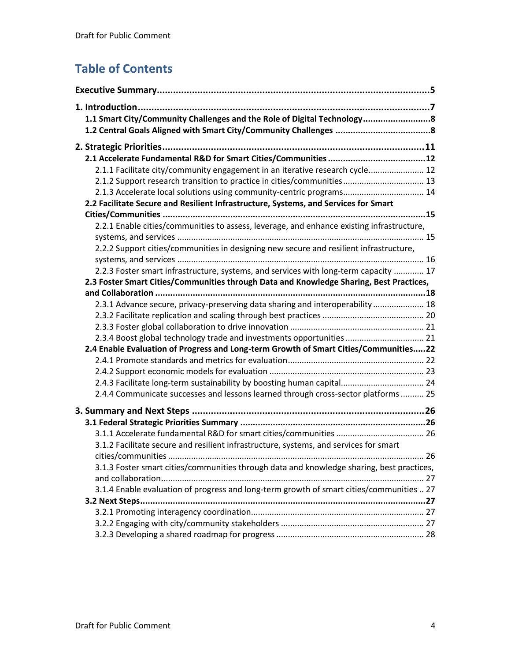## **Table of Contents**

| 1.1 Smart City/Community Challenges and the Role of Digital Technology                    |  |
|-------------------------------------------------------------------------------------------|--|
|                                                                                           |  |
|                                                                                           |  |
|                                                                                           |  |
| 2.1.1 Facilitate city/community engagement in an iterative research cycle 12              |  |
| 2.1.2 Support research transition to practice in cities/communities 13                    |  |
| 2.1.3 Accelerate local solutions using community-centric programs 14                      |  |
| 2.2 Facilitate Secure and Resilient Infrastructure, Systems, and Services for Smart       |  |
| 2.2.1 Enable cities/communities to assess, leverage, and enhance existing infrastructure, |  |
|                                                                                           |  |
| 2.2.2 Support cities/communities in designing new secure and resilient infrastructure,    |  |
|                                                                                           |  |
| 2.2.3 Foster smart infrastructure, systems, and services with long-term capacity  17      |  |
| 2.3 Foster Smart Cities/Communities through Data and Knowledge Sharing, Best Practices,   |  |
|                                                                                           |  |
| 2.3.1 Advance secure, privacy-preserving data sharing and interoperability  18            |  |
|                                                                                           |  |
|                                                                                           |  |
| 2.3.4 Boost global technology trade and investments opportunities 21                      |  |
| 2.4 Enable Evaluation of Progress and Long-term Growth of Smart Cities/Communities22      |  |
|                                                                                           |  |
| 2.4.3 Facilitate long-term sustainability by boosting human capital 24                    |  |
| 2.4.4 Communicate successes and lessons learned through cross-sector platforms  25        |  |
|                                                                                           |  |
|                                                                                           |  |
|                                                                                           |  |
| 3.1.2 Facilitate secure and resilient infrastructure, systems, and services for smart     |  |
|                                                                                           |  |
| 3.1.3 Foster smart cities/communities through data and knowledge sharing, best practices, |  |
|                                                                                           |  |
| 3.1.4 Enable evaluation of progress and long-term growth of smart cities/communities  27  |  |
|                                                                                           |  |
|                                                                                           |  |
|                                                                                           |  |
|                                                                                           |  |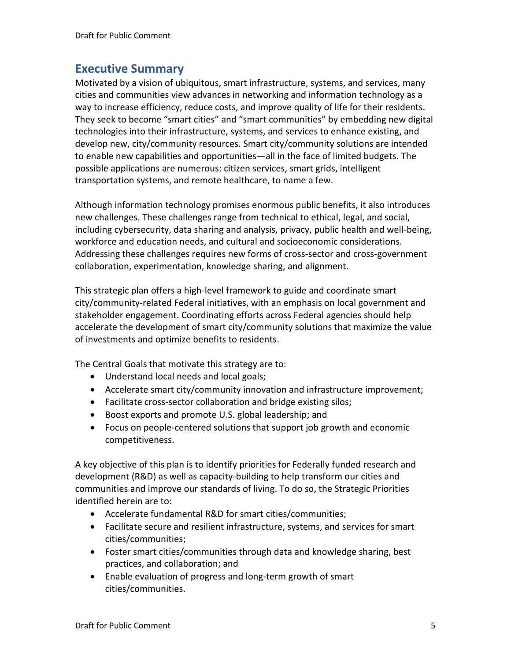## **Executive Summary**

Motivated by a vision of ubiquitous, smart infrastructure, systems, and services, many cities and communities view advances in networking and information technology as a way to increase efficiency, reduce costs, and improve quality of life for their residents. They seek to become "smart cities" and "smart communities" by embedding new digital technologies into their infrastructure, systems, and services to enhance existing, and develop new, city/community resources. Smart city/community solutions are intended to enable new capabilities and opportunities—all in the face of limited budgets. The possible applications are numerous: citizen services, smart grids, intelligent transportation systems, and remote healthcare, to name a few.

Although information technology promises enormous public benefits, it also introduces new challenges. These challenges range from technical to ethical, legal, and social, including cybersecurity, data sharing and analysis, privacy, public health and well-being, workforce and education needs, and cultural and socioeconomic considerations. Addressing these challenges requires new forms of cross-sector and cross-government collaboration, experimentation, knowledge sharing, and alignment.

This strategic plan offers a high-level framework to guide and coordinate smart city/community-related Federal initiatives, with an emphasis on local government and stakeholder engagement. Coordinating efforts across Federal agencies should help accelerate the development of smart city/community solutions that maximize the value of investments and optimize benefits to residents.

The Central Goals that motivate this strategy are to:

- Understand local needs and local goals;
- Accelerate smart city/community innovation and infrastructure improvement;
- Facilitate cross-sector collaboration and bridge existing silos;
- Boost exports and promote U.S. global leadership; and
- Focus on people-centered solutions that support job growth and economic competitiveness.

A key objective of this plan is to identify priorities for Federally funded research and development (R&D) as well as capacity-building to help transform our cities and communities and improve our standards of living. To do so, the Strategic Priorities identified herein are to:

- Accelerate fundamental R&D for smart cities/communities;
- Facilitate secure and resilient infrastructure, systems, and services for smart cities/communities;
- Foster smart cities/communities through data and knowledge sharing, best practices, and collaboration; and
- Enable evaluation of progress and long-term growth of smart cities/communities.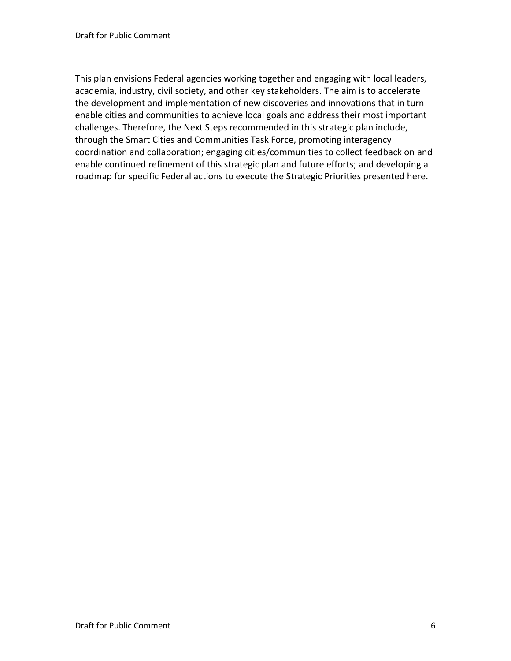This plan envisions Federal agencies working together and engaging with local leaders, academia, industry, civil society, and other key stakeholders. The aim is to accelerate the development and implementation of new discoveries and innovations that in turn enable cities and communities to achieve local goals and address their most important challenges. Therefore, the Next Steps recommended in this strategic plan include, through the Smart Cities and Communities Task Force, promoting interagency coordination and collaboration; engaging cities/communities to collect feedback on and enable continued refinement of this strategic plan and future efforts; and developing a roadmap for specific Federal actions to execute the Strategic Priorities presented here.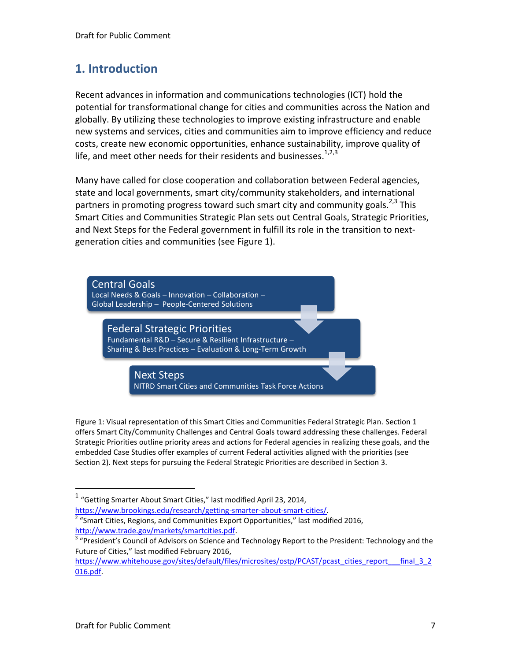## **1. Introduction**

Recent advances in information and communications technologies (ICT) hold the potential for transformational change for cities and communities across the Nation and globally. By utilizing these technologies to improve existing infrastructure and enable new systems and services, cities and communities aim to improve efficiency and reduce costs, create new economic opportunities, enhance sustainability, improve quality of life, and meet other needs for their residents and businesses.<sup>1,2,3</sup>

Many have called for close cooperation and collaboration between Federal agencies, state and local governments, smart city/community stakeholders, and international partners in promoting progress toward such smart city and community goals. $^{2,3}$  This Smart Cities and Communities Strategic Plan sets out Central Goals, Strategic Priorities, and Next Steps for the Federal government in fulfill its role in the transition to nextgeneration cities and communities (see Figure 1).



Figure 1: Visual representation of this Smart Cities and Communities Federal Strategic Plan. Section 1 offers Smart City/Community Challenges and Central Goals toward addressing these challenges. Federal Strategic Priorities outline priority areas and actions for Federal agencies in realizing these goals, and the embedded Case Studies offer examples of current Federal activities aligned with the priorities (see Section 2). Next steps for pursuing the Federal Strategic Priorities are described in Section 3.

[https://www.brookings.edu/research/getting-smarter-about-smart-cities/.](https://www.brookings.edu/research/getting-smarter-about-smart-cities/)  $2$  "Smart Cities, Regions, and Communities Export Opportunities," last modified 2016, [http://www.trade.gov/markets/smartcities.pdf.](http://www.trade.gov/markets/smartcities.pdf)

 $1$  "Getting Smarter About Smart Cities," last modified April 23, 2014,

<sup>&</sup>lt;sup>3</sup> "President's Council of Advisors on Science and Technology Report to the President: Technology and the Future of Cities," last modified February 2016,

[https://www.whitehouse.gov/sites/default/files/microsites/ostp/PCAST/pcast\\_cities\\_report\\_\\_\\_final\\_3\\_2](https://www.whitehouse.gov/sites/default/files/microsites/ostp/PCAST/pcast_cities_report___final_3_2016.pdf) [016.pdf.](https://www.whitehouse.gov/sites/default/files/microsites/ostp/PCAST/pcast_cities_report___final_3_2016.pdf)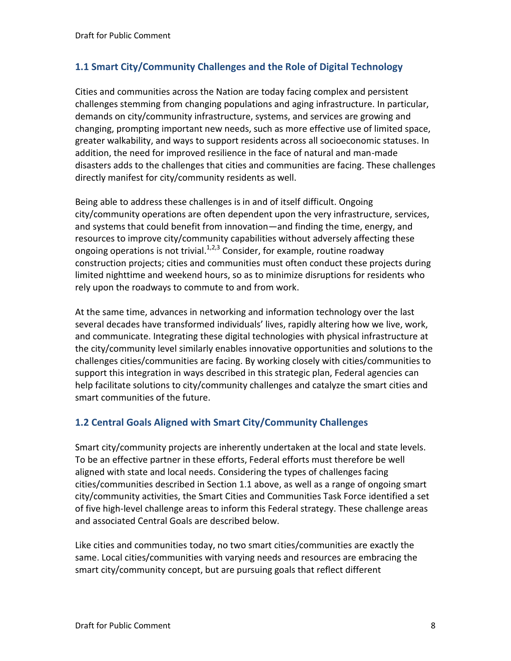#### **1.1 Smart City/Community Challenges and the Role of Digital Technology**

Cities and communities across the Nation are today facing complex and persistent challenges stemming from changing populations and aging infrastructure. In particular, demands on city/community infrastructure, systems, and services are growing and changing, prompting important new needs, such as more effective use of limited space, greater walkability, and ways to support residents across all socioeconomic statuses. In addition, the need for improved resilience in the face of natural and man-made disasters adds to the challenges that cities and communities are facing. These challenges directly manifest for city/community residents as well.

Being able to address these challenges is in and of itself difficult. Ongoing city/community operations are often dependent upon the very infrastructure, services, and systems that could benefit from innovation—and finding the time, energy, and resources to improve city/community capabilities without adversely affecting these ongoing operations is not trivial. $1,2,3$  Consider, for example, routine roadway construction projects; cities and communities must often conduct these projects during limited nighttime and weekend hours, so as to minimize disruptions for residents who rely upon the roadways to commute to and from work.

At the same time, advances in networking and information technology over the last several decades have transformed individuals' lives, rapidly altering how we live, work, and communicate. Integrating these digital technologies with physical infrastructure at the city/community level similarly enables innovative opportunities and solutions to the challenges cities/communities are facing. By working closely with cities/communities to support this integration in ways described in this strategic plan, Federal agencies can help facilitate solutions to city/community challenges and catalyze the smart cities and smart communities of the future.

#### **1.2 Central Goals Aligned with Smart City/Community Challenges**

Smart city/community projects are inherently undertaken at the local and state levels. To be an effective partner in these efforts, Federal efforts must therefore be well aligned with state and local needs. Considering the types of challenges facing cities/communities described in Section 1.1 above, as well as a range of ongoing smart city/community activities, the Smart Cities and Communities Task Force identified a set of five high-level challenge areas to inform this Federal strategy. These challenge areas and associated Central Goals are described below.

Like cities and communities today, no two smart cities/communities are exactly the same. Local cities/communities with varying needs and resources are embracing the smart city/community concept, but are pursuing goals that reflect different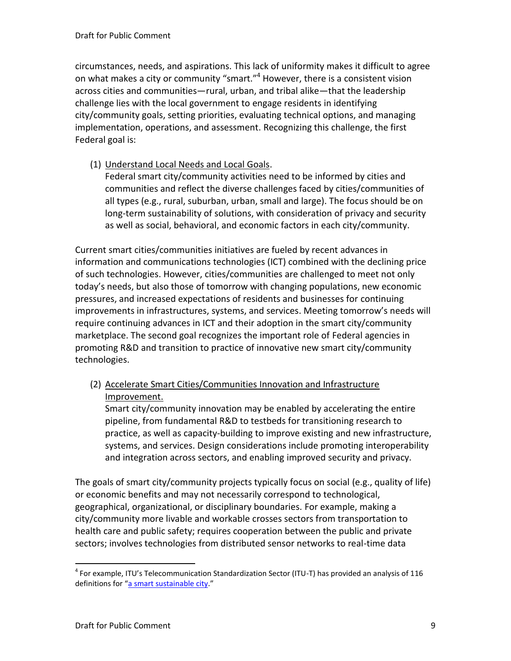circumstances, needs, and aspirations. This lack of uniformity makes it difficult to agree on what makes a city or community "smart."<sup>4</sup> However, there is a consistent vision across cities and communities—rural, urban, and tribal alike—that the leadership challenge lies with the local government to engage residents in identifying city/community goals, setting priorities, evaluating technical options, and managing implementation, operations, and assessment. Recognizing this challenge, the first Federal goal is:

(1) Understand Local Needs and Local Goals.

Federal smart city/community activities need to be informed by cities and communities and reflect the diverse challenges faced by cities/communities of all types (e.g., rural, suburban, urban, small and large). The focus should be on long-term sustainability of solutions, with consideration of privacy and security as well as social, behavioral, and economic factors in each city/community.

Current smart cities/communities initiatives are fueled by recent advances in information and communications technologies (ICT) combined with the declining price of such technologies. However, cities/communities are challenged to meet not only today's needs, but also those of tomorrow with changing populations, new economic pressures, and increased expectations of residents and businesses for continuing improvements in infrastructures, systems, and services. Meeting tomorrow's needs will require continuing advances in ICT and their adoption in the smart city/community marketplace. The second goal recognizes the important role of Federal agencies in promoting R&D and transition to practice of innovative new smart city/community technologies.

(2) Accelerate Smart Cities/Communities Innovation and Infrastructure Improvement.

Smart city/community innovation may be enabled by accelerating the entire pipeline, from fundamental R&D to testbeds for transitioning research to practice, as well as capacity-building to improve existing and new infrastructure, systems, and services. Design considerations include promoting interoperability and integration across sectors, and enabling improved security and privacy.

The goals of smart city/community projects typically focus on social (e.g., quality of life) or economic benefits and may not necessarily correspond to technological, geographical, organizational, or disciplinary boundaries. For example, making a city/community more livable and workable crosses sectors from transportation to health care and public safety; requires cooperation between the public and private sectors; involves technologies from distributed sensor networks to real-time data

 $^4$  For example, ITU's Telecommunication Standardization Sector (ITU-T) has provided an analysis of 116 definitions for "[a smart sustainable city.](http://www.itu.int/en/ITU-T/focusgroups/ssc/Pages/default.aspx)"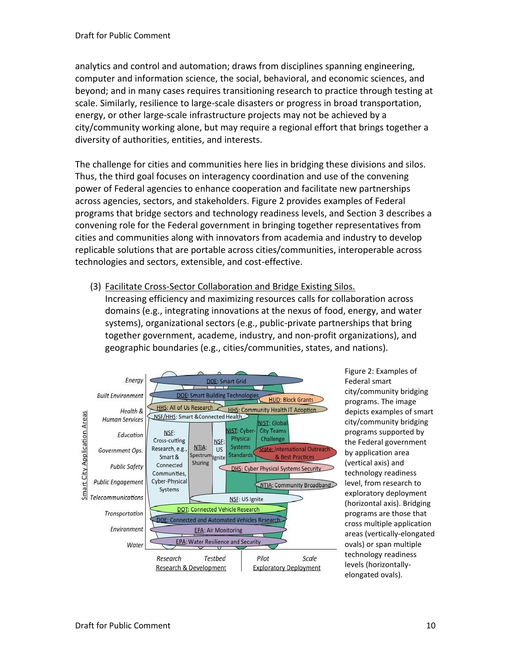analytics and control and automation; draws from disciplines spanning engineering, computer and information science, the social, behavioral, and economic sciences, and beyond; and in many cases requires transitioning research to practice through testing at scale. Similarly, resilience to large-scale disasters or progress in broad transportation, energy, or other large-scale infrastructure projects may not be achieved by a city/community working alone, but may require a regional effort that brings together a diversity of authorities, entities, and interests.

The challenge for cities and communities here lies in bridging these divisions and silos. Thus, the third goal focuses on interagency coordination and use of the convening power of Federal agencies to enhance cooperation and facilitate new partnerships across agencies, sectors, and stakeholders. Figure 2 provides examples of Federal programs that bridge sectors and technology readiness levels, and Section 3 describes a convening role for the Federal government in bringing together representatives from cities and communities along with innovators from academia and industry to develop replicable solutions that are portable across cities/communities, interoperable across technologies and sectors, extensible, and cost-effective.

(3) Facilitate Cross-Sector Collaboration and Bridge Existing Silos. Increasing efficiency and maximizing resources calls for collaboration across domains (e.g., integrating innovations at the nexus of food, energy, and water systems), organizational sectors (e.g., public-private partnerships that bring together government, academe, industry, and non-profit organizations), and geographic boundaries (e.g., cities/communities, states, and nations).



Figure 2: Examples of Federal smart city/community bridging programs. The image depicts examples of smart city/community bridging programs supported by the Federal government by application area (vertical axis) and technology readiness level, from research to exploratory deployment (horizontal axis). Bridging programs are those that cross multiple application areas (vertically-elongated ovals) or span multiple technology readiness levels (horizontallyelongated ovals).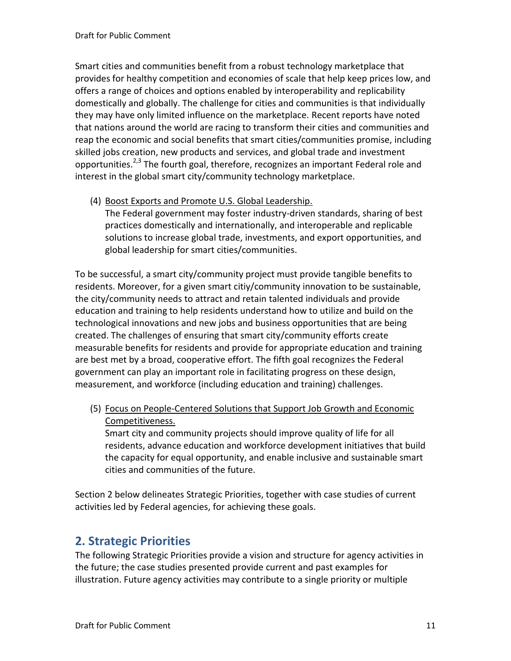Smart cities and communities benefit from a robust technology marketplace that provides for healthy competition and economies of scale that help keep prices low, and offers a range of choices and options enabled by interoperability and replicability domestically and globally. The challenge for cities and communities is that individually they may have only limited influence on the marketplace. Recent reports have noted that nations around the world are racing to transform their cities and communities and reap the economic and social benefits that smart cities/communities promise, including skilled jobs creation, new products and services, and global trade and investment opportunities.<sup>2,3</sup> The fourth goal, therefore, recognizes an important Federal role and interest in the global smart city/community technology marketplace.

(4) Boost Exports and Promote U.S. Global Leadership.

The Federal government may foster industry-driven standards, sharing of best practices domestically and internationally, and interoperable and replicable solutions to increase global trade, investments, and export opportunities, and global leadership for smart cities/communities.

To be successful, a smart city/community project must provide tangible benefits to residents. Moreover, for a given smart citiy/community innovation to be sustainable, the city/community needs to attract and retain talented individuals and provide education and training to help residents understand how to utilize and build on the technological innovations and new jobs and business opportunities that are being created. The challenges of ensuring that smart city/community efforts create measurable benefits for residents and provide for appropriate education and training are best met by a broad, cooperative effort. The fifth goal recognizes the Federal government can play an important role in facilitating progress on these design, measurement, and workforce (including education and training) challenges.

(5) Focus on People-Centered Solutions that Support Job Growth and Economic Competitiveness.

Smart city and community projects should improve quality of life for all residents, advance education and workforce development initiatives that build the capacity for equal opportunity, and enable inclusive and sustainable smart cities and communities of the future.

Section 2 below delineates Strategic Priorities, together with case studies of current activities led by Federal agencies, for achieving these goals.

## **2. Strategic Priorities**

The following Strategic Priorities provide a vision and structure for agency activities in the future; the case studies presented provide current and past examples for illustration. Future agency activities may contribute to a single priority or multiple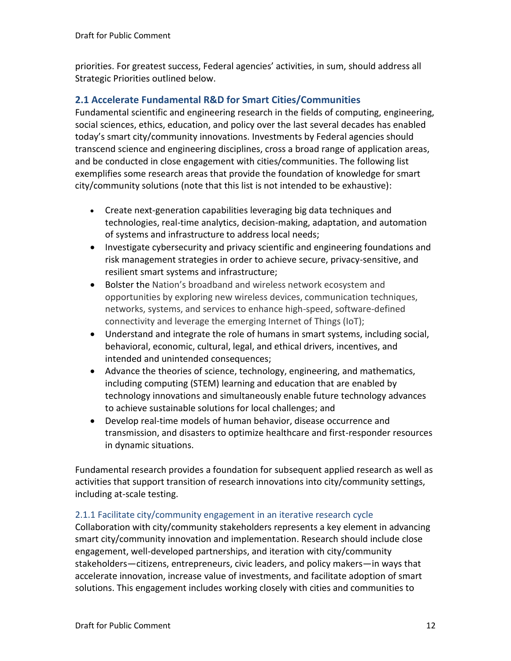priorities. For greatest success, Federal agencies' activities, in sum, should address all Strategic Priorities outlined below.

#### **2.1 Accelerate Fundamental R&D for Smart Cities/Communities**

Fundamental scientific and engineering research in the fields of computing, engineering, social sciences, ethics, education, and policy over the last several decades has enabled today's smart city/community innovations. Investments by Federal agencies should transcend science and engineering disciplines, cross a broad range of application areas, and be conducted in close engagement with cities/communities. The following list exemplifies some research areas that provide the foundation of knowledge for smart city/community solutions (note that this list is not intended to be exhaustive):

- Create next-generation capabilities leveraging big data techniques and technologies, real-time analytics, decision-making, adaptation, and automation of systems and infrastructure to address local needs;
- Investigate cybersecurity and privacy scientific and engineering foundations and risk management strategies in order to achieve secure, privacy-sensitive, and resilient smart systems and infrastructure;
- Bolster the Nation's broadband and wireless network ecosystem and opportunities by exploring new wireless devices, communication techniques, networks, systems, and services to enhance high-speed, software-defined connectivity and leverage the emerging Internet of Things (IoT);
- Understand and integrate the role of humans in smart systems, including social, behavioral, economic, cultural, legal, and ethical drivers, incentives, and intended and unintended consequences;
- Advance the theories of science, technology, engineering, and mathematics, including computing (STEM) learning and education that are enabled by technology innovations and simultaneously enable future technology advances to achieve sustainable solutions for local challenges; and
- Develop real-time models of human behavior, disease occurrence and transmission, and disasters to optimize healthcare and first-responder resources in dynamic situations.

Fundamental research provides a foundation for subsequent applied research as well as activities that support transition of research innovations into city/community settings, including at-scale testing.

#### 2.1.1 Facilitate city/community engagement in an iterative research cycle

Collaboration with city/community stakeholders represents a key element in advancing smart city/community innovation and implementation. Research should include close engagement, well-developed partnerships, and iteration with city/community stakeholders—citizens, entrepreneurs, civic leaders, and policy makers—in ways that accelerate innovation, increase value of investments, and facilitate adoption of smart solutions. This engagement includes working closely with cities and communities to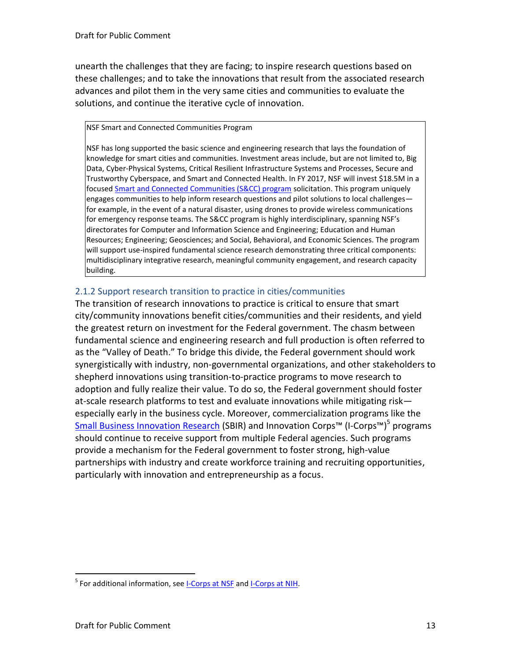unearth the challenges that they are facing; to inspire research questions based on these challenges; and to take the innovations that result from the associated research advances and pilot them in the very same cities and communities to evaluate the solutions, and continue the iterative cycle of innovation.

#### NSF Smart and Connected Communities Program

NSF has long supported the basic science and engineering research that lays the foundation of knowledge for smart cities and communities. Investment areas include, but are not limited to, Big Data, Cyber-Physical Systems, Critical Resilient Infrastructure Systems and Processes, Secure and Trustworthy Cyberspace, and Smart and Connected Health. In FY 2017, NSF will invest \$18.5M in a focuse[d Smart and Connected Communities \(S&CC\) program s](https://www.nsf.gov/funding/pgm_summ.jsp?pims_id=505364)olicitation. This program uniquely engages communities to help inform research questions and pilot solutions to local challenges for example, in the event of a natural disaster, using drones to provide wireless communications for emergency response teams. The S&CC program is highly interdisciplinary, spanning NSF's directorates for Computer and Information Science and Engineering; Education and Human Resources; Engineering; Geosciences; and Social, Behavioral, and Economic Sciences. The program will support use-inspired fundamental science research demonstrating three critical components: multidisciplinary integrative research, meaningful community engagement, and research capacity building.

#### 2.1.2 Support research transition to practice in cities/communities

The transition of research innovations to practice is critical to ensure that smart city/community innovations benefit cities/communities and their residents, and yield the greatest return on investment for the Federal government. The chasm between fundamental science and engineering research and full production is often referred to as the "Valley of Death." To bridge this divide, the Federal government should work synergistically with industry, non-governmental organizations, and other stakeholders to shepherd innovations using transition-to-practice programs to move research to adoption and fully realize their value. To do so, the Federal government should foster at-scale research platforms to test and evaluate innovations while mitigating risk especially early in the business cycle. Moreover, commercialization programs like the [Small Business Innovation Research](https://www.sbir.gov/) (SBIR) and Innovation Corps™ (I-Corps™)<sup>5</sup> programs should continue to receive support from multiple Federal agencies. Such programs provide a mechanism for the Federal government to foster strong, high-value partnerships with industry and create workforce training and recruiting opportunities, particularly with innovation and entrepreneurship as a focus.

<sup>&</sup>lt;sup>5</sup> For additional information, see **I-Corps at NSF** an[d I-Corps at NIH.](https://sbir.cancer.gov/programseducation/icorps)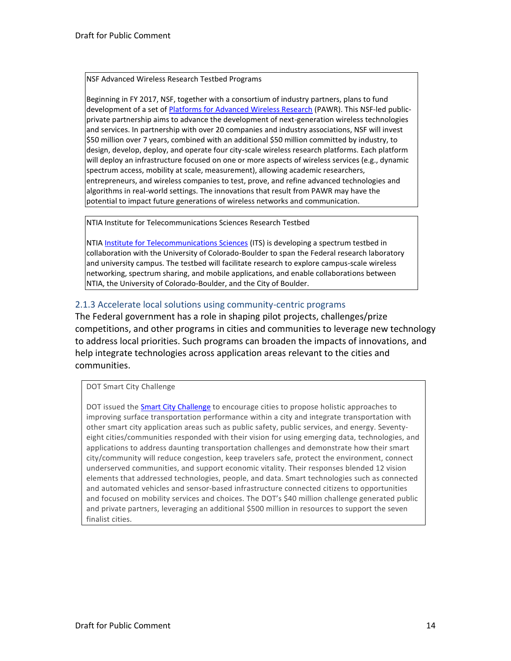#### NSF Advanced Wireless Research Testbed Programs

Beginning in FY 2017, NSF, together with a consortium of industry partners, plans to fund development of a set o[f Platforms for Advanced Wireless Research \(](https://www.nsf.gov/funding/pgm_summ.jsp?pims_id=505316)PAWR). This NSF-led publicprivate partnership aims to advance the development of next-generation wireless technologies and services. In partnership with over 20 companies and industry associations, NSF will invest \$50 million over 7 years, combined with an additional \$50 million committed by industry, to design, develop, deploy, and operate four city-scale wireless research platforms. Each platform will deploy an infrastructure focused on one or more aspects of wireless services (e.g., dynamic spectrum access, mobility at scale, measurement), allowing academic researchers, entrepreneurs, and wireless companies to test, prove, and refine advanced technologies and algorithms in real-world settings. The innovations that result from PAWR may have the potential to impact future generations of wireless networks and communication.

NTIA Institute for Telecommunications Sciences Research Testbed

NTI[A Institute for Telecommunications Sciences](https://www.ntia.doc.gov/office/ITS) (ITS) is developing a spectrum testbed in collaboration with the University of Colorado-Boulder to span the Federal research laboratory and university campus. The testbed will facilitate research to explore campus-scale wireless networking, spectrum sharing, and mobile applications, and enable collaborations between NTIA, the University of Colorado-Boulder, and the City of Boulder.

#### 2.1.3 Accelerate local solutions using community-centric programs

The Federal government has a role in shaping pilot projects, challenges/prize competitions, and other programs in cities and communities to leverage new technology to address local priorities. Such programs can broaden the impacts of innovations, and help integrate technologies across application areas relevant to the cities and communities.

DOT Smart City Challenge

DOT issued th[e Smart City Challenge](https://www.transportation.gov/smartcity) to encourage cities to propose holistic approaches to improving surface transportation performance within a city and integrate transportation with other smart city application areas such as public safety, public services, and energy. Seventyeight cities/communities responded with their vision for using emerging data, technologies, and applications to address daunting transportation challenges and demonstrate how their smart city/community will reduce congestion, keep travelers safe, protect the environment, connect underserved communities, and support economic vitality. Their responses blended 12 vision elements that addressed technologies, people, and data. Smart technologies such as connected and automated vehicles and sensor-based infrastructure connected citizens to opportunities and focused on mobility services and choices. The DOT's \$40 million challenge generated public and private partners, leveraging an additional \$500 million in resources to support the seven finalist cities.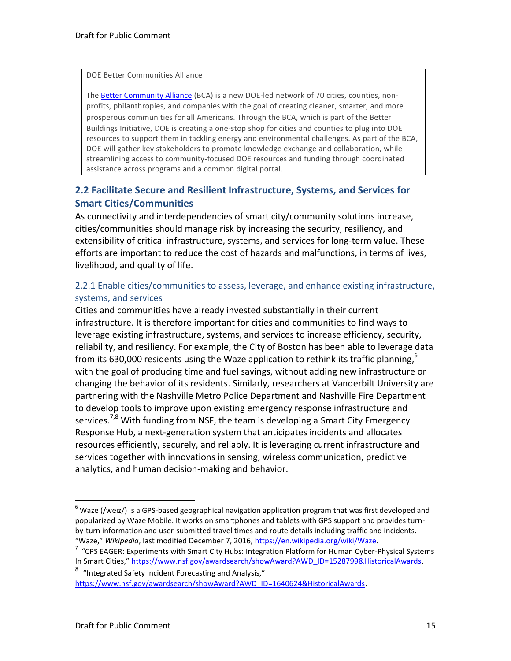#### DOE Better Communities Alliance

The [Better Community Alliance](https://betterbuildingsinitiative.energy.gov/bca) (BCA) is a new DOE-led network of 70 cities, counties, nonprofits, philanthropies, and companies with the goal of creating cleaner, smarter, and more prosperous communities for all Americans. Through the BCA, which is part of the Better Buildings Initiative, DOE is creating a one-stop shop for cities and counties to plug into DOE resources to support them in tackling energy and environmental challenges. As part of the BCA, DOE will gather key stakeholders to promote knowledge exchange and collaboration, while streamlining access to community-focused DOE resources and funding through coordinated assistance across programs and a common digital portal.

#### **2.2 Facilitate Secure and Resilient Infrastructure, Systems, and Services for Smart Cities/Communities**

As connectivity and interdependencies of smart city/community solutions increase, cities/communities should manage risk by increasing the security, resiliency, and extensibility of critical infrastructure, systems, and services for long-term value. These efforts are important to reduce the cost of hazards and malfunctions, in terms of lives, livelihood, and quality of life.

#### 2.2.1 Enable cities/communities to assess, leverage, and enhance existing infrastructure, systems, and services

Cities and communities have already invested substantially in their current infrastructure. It is therefore important for cities and communities to find ways to leverage existing infrastructure, systems, and services to increase efficiency, security, reliability, and resiliency. For example, the City of Boston has been able to leverage data from its 630,000 residents using the Waze application to rethink its traffic planning,  $6\,$ with the goal of producing time and fuel savings, without adding new infrastructure or changing the behavior of its residents. Similarly, researchers at Vanderbilt University are partnering with the Nashville Metro Police Department and Nashville Fire Department to develop tools to improve upon existing emergency response infrastructure and services.<sup>7,8</sup> With funding from NSF, the team is developing a Smart City Emergency Response Hub, a next-generation system that anticipates incidents and allocates resources efficiently, securely, and reliably. It is leveraging current infrastructure and services together with innovations in sensing, wireless communication, predictive analytics, and human decision-making and behavior.

[https://www.nsf.gov/awardsearch/showAward?AWD\\_ID=1640624&HistoricalAwards.](https://www.nsf.gov/awardsearch/showAward?AWD_ID=1640624&HistoricalAwards)

 $6$  Waze (/weiz/) is a GPS-based geographical navigation application program that was first developed and popularized by Waze Mobile. It works on smartphones and tablets with GPS support and provides turnby-turn information and user-submitted travel times and route details including traffic and incidents. "Waze," *Wikipedia*, last modified December 7, 2016[, https://en.wikipedia.org/wiki/Waze.](https://en.wikipedia.org/wiki/Waze)

 $7$  "CPS EAGER: Experiments with Smart City Hubs: Integration Platform for Human Cyber-Physical Systems In Smart Cities," [https://www.nsf.gov/awardsearch/showAward?AWD\\_ID=1528799&HistoricalAwards.](https://www.nsf.gov/awardsearch/showAward?AWD_ID=1528799&HistoricalAwards)

<sup>&</sup>lt;sup>8</sup> "Integrated Safety Incident Forecasting and Analysis,"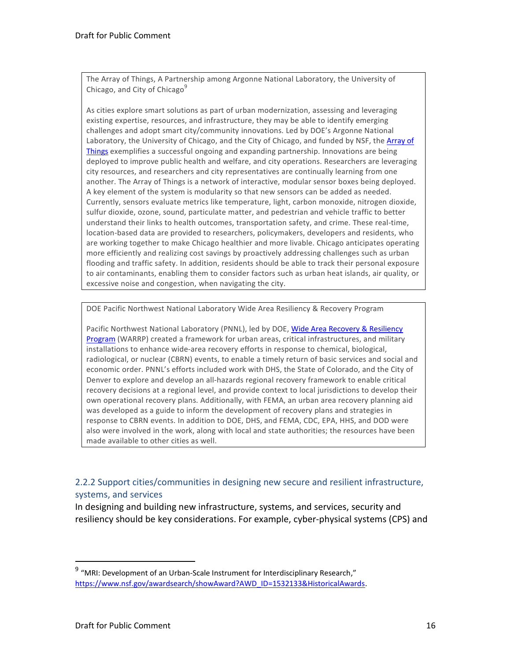The Array of Things, A Partnership among Argonne National Laboratory, the University of Chicago, and City of Chicago<sup>9</sup>

As cities explore smart solutions as part of urban modernization, assessing and leveraging existing expertise, resources, and infrastructure, they may be able to identify emerging challenges and adopt smart city/community innovations. Led by DOE's Argonne National Laboratory, the University of Chicago, and the City of Chicago, and funded by NSF, the Array of [Things](https://arrayofthings.github.io/) exemplifies a successful ongoing and expanding partnership. Innovations are being deployed to improve public health and welfare, and city operations. Researchers are leveraging city resources, and researchers and city representatives are continually learning from one another. The Array of Things is a network of interactive, modular sensor boxes being deployed. A key element of the system is modularity so that new sensors can be added as needed. Currently, sensors evaluate metrics like temperature, light, carbon monoxide, nitrogen dioxide, sulfur dioxide, ozone, sound, particulate matter, and pedestrian and vehicle traffic to better understand their links to health outcomes, transportation safety, and crime. These real-time, location-based data are provided to researchers, policymakers, developers and residents, who are working together to make Chicago healthier and more livable. Chicago anticipates operating more efficiently and realizing cost savings by proactively addressing challenges such as urban flooding and traffic safety. In addition, residents should be able to track their personal exposure to air contaminants, enabling them to consider factors such as urban heat islands, air quality, or excessive noise and congestion, when navigating the city.

DOE Pacific Northwest National Laboratory Wide Area Resiliency & Recovery Program

Pacific Northwest National Laboratory (PNNL), led by DOE, [Wide Area Recovery & Resiliency](http://nwrtc.pnnl.gov/projects/programs.stm)  [Program \(](http://nwrtc.pnnl.gov/projects/programs.stm)WARRP) created a framework for urban areas, critical infrastructures, and military installations to enhance wide-area recovery efforts in response to chemical, biological, radiological, or nuclear (CBRN) events, to enable a timely return of basic services and social and economic order. PNNL's efforts included work with DHS, the State of Colorado, and the City of Denver to explore and develop an all-hazards regional recovery framework to enable critical recovery decisions at a regional level, and provide context to local jurisdictions to develop their own operational recovery plans. Additionally, with FEMA, an urban area recovery planning aid was developed as a guide to inform the development of recovery plans and strategies in response to CBRN events. In addition to DOE, DHS, and FEMA, CDC, EPA, HHS, and DOD were also were involved in the work, along with local and state authorities; the resources have been made available to other cities as well.

2.2.2 Support cities/communities in designing new secure and resilient infrastructure, systems, and services

In designing and building new infrastructure, systems, and services, security and resiliency should be key considerations. For example, cyber-physical systems (CPS) and

 $9$  "MRI: Development of an Urban-Scale Instrument for Interdisciplinary Research," [https://www.nsf.gov/awardsearch/showAward?AWD\\_ID=1532133&HistoricalAwards.](https://www.nsf.gov/awardsearch/showAward?AWD_ID=1532133&HistoricalAwards)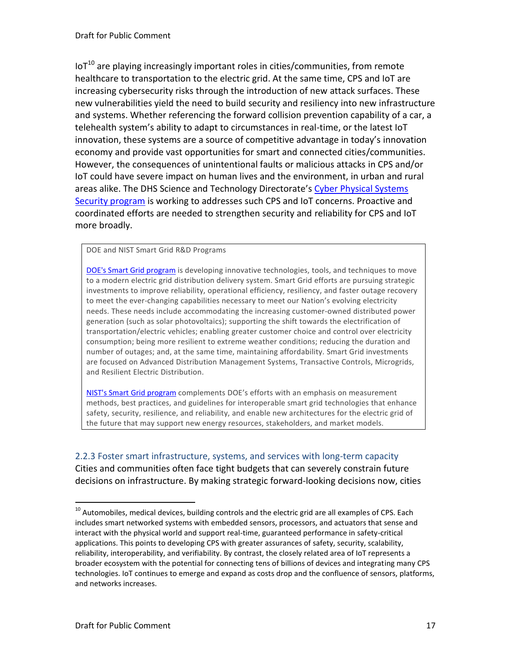$I$ <sub>0</sub>T<sup>10</sup> are playing increasingly important roles in cities/communities, from remote healthcare to transportation to the electric grid. At the same time, CPS and IoT are increasing cybersecurity risks through the introduction of new attack surfaces. These new vulnerabilities yield the need to build security and resiliency into new infrastructure and systems. Whether referencing the forward collision prevention capability of a car, a telehealth system's ability to adapt to circumstances in real-time, or the latest IoT innovation, these systems are a source of competitive advantage in today's innovation economy and provide vast opportunities for smart and connected cities/communities. However, the consequences of unintentional faults or malicious attacks in CPS and/or IoT could have severe impact on human lives and the environment, in urban and rural areas alike. The DHS Science and Technology Directorate's [Cyber Physical Systems](https://www.dhs.gov/science-and-technology/csd-cpssec)  [Security program](https://www.dhs.gov/science-and-technology/csd-cpssec) is working to addresses such CPS and IoT concerns. Proactive and coordinated efforts are needed to strengthen security and reliability for CPS and IoT more broadly.

#### DOE and NIST Smart Grid R&D Programs

[DOE's Smart Grid program](https://energy.gov/oe/services/technology-development/smart-grid) is developing innovative technologies, tools, and techniques to move to a modern electric grid distribution delivery system. Smart Grid efforts are pursuing strategic investments to improve reliability, operational efficiency, resiliency, and faster outage recovery to meet the ever-changing capabilities necessary to meet our Nation's evolving electricity needs. These needs include accommodating the increasing customer-owned distributed power generation (such as solar photovoltaics); supporting the shift towards the electrification of transportation/electric vehicles; enabling greater customer choice and control over electricity consumption; being more resilient to extreme weather conditions; reducing the duration and number of outages; and, at the same time, maintaining affordability. Smart Grid investments are focused on Advanced Distribution Management Systems, Transactive Controls, Microgrids, and Resilient Electric Distribution.

[NIST's Smart Grid program](https://www.nist.gov/engineering-laboratory/smart-grid) complements DOE's efforts with an emphasis on measurement methods, best practices, and guidelines for interoperable smart grid technologies that enhance safety, security, resilience, and reliability, and enable new architectures for the electric grid of the future that may support new energy resources, stakeholders, and market models.

#### 2.2.3 Foster smart infrastructure, systems, and services with long-term capacity Cities and communities often face tight budgets that can severely constrain future decisions on infrastructure. By making strategic forward-looking decisions now, cities

 $10$  Automobiles, medical devices, building controls and the electric grid are all examples of CPS. Each includes smart networked systems with embedded sensors, processors, and actuators that sense and interact with the physical world and support real-time, guaranteed performance in safety-critical applications. This points to developing CPS with greater assurances of safety, security, scalability, reliability, interoperability, and verifiability. By contrast, the closely related area of IoT represents a broader ecosystem with the potential for connecting tens of billions of devices and integrating many CPS technologies. IoT continues to emerge and expand as costs drop and the confluence of sensors, platforms, and networks increases.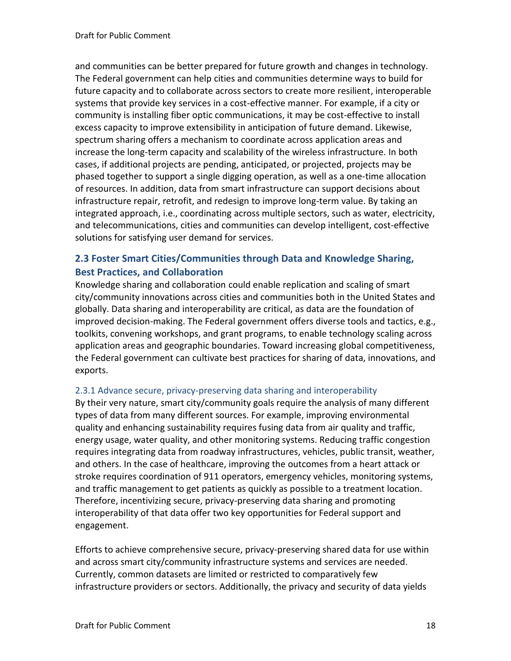and communities can be better prepared for future growth and changes in technology. The Federal government can help cities and communities determine ways to build for future capacity and to collaborate across sectors to create more resilient, interoperable systems that provide key services in a cost-effective manner. For example, if a city or community is installing fiber optic communications, it may be cost-effective to install excess capacity to improve extensibility in anticipation of future demand. Likewise, spectrum sharing offers a mechanism to coordinate across application areas and increase the long-term capacity and scalability of the wireless infrastructure. In both cases, if additional projects are pending, anticipated, or projected, projects may be phased together to support a single digging operation, as well as a one-time allocation of resources. In addition, data from smart infrastructure can support decisions about infrastructure repair, retrofit, and redesign to improve long-term value. By taking an integrated approach, i.e., coordinating across multiple sectors, such as water, electricity, and telecommunications, cities and communities can develop intelligent, cost-effective solutions for satisfying user demand for services.

#### **2.3 Foster Smart Cities/Communities through Data and Knowledge Sharing, Best Practices, and Collaboration**

Knowledge sharing and collaboration could enable replication and scaling of smart city/community innovations across cities and communities both in the United States and globally. Data sharing and interoperability are critical, as data are the foundation of improved decision-making. The Federal government offers diverse tools and tactics, e.g., toolkits, convening workshops, and grant programs, to enable technology scaling across application areas and geographic boundaries. Toward increasing global competitiveness, the Federal government can cultivate best practices for sharing of data, innovations, and exports.

#### 2.3.1 Advance secure, privacy-preserving data sharing and interoperability

By their very nature, smart city/community goals require the analysis of many different types of data from many different sources. For example, improving environmental quality and enhancing sustainability requires fusing data from air quality and traffic, energy usage, water quality, and other monitoring systems. Reducing traffic congestion requires integrating data from roadway infrastructures, vehicles, public transit, weather, and others. In the case of healthcare, improving the outcomes from a heart attack or stroke requires coordination of 911 operators, emergency vehicles, monitoring systems, and traffic management to get patients as quickly as possible to a treatment location. Therefore, incentivizing secure, privacy-preserving data sharing and promoting interoperability of that data offer two key opportunities for Federal support and engagement.

Efforts to achieve comprehensive secure, privacy-preserving shared data for use within and across smart city/community infrastructure systems and services are needed. Currently, common datasets are limited or restricted to comparatively few infrastructure providers or sectors. Additionally, the privacy and security of data yields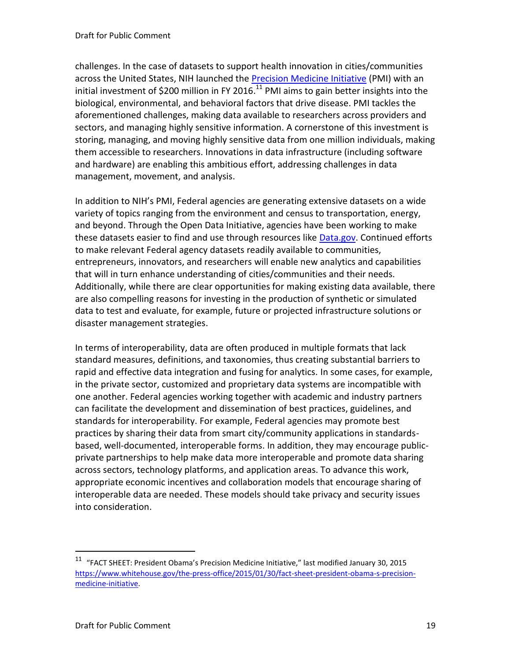challenges. In the case of datasets to support health innovation in cities/communities across the United States, NIH launched the [Precision Medicine Initiative](https://www.nih.gov/research-training/allofus-research-program) (PMI) with an initial investment of \$200 million in FY 2016.<sup>11</sup> PMI aims to gain better insights into the biological, environmental, and behavioral factors that drive disease. PMI tackles the aforementioned challenges, making data available to researchers across providers and sectors, and managing highly sensitive information. A cornerstone of this investment is storing, managing, and moving highly sensitive data from one million individuals, making them accessible to researchers. Innovations in data infrastructure (including software and hardware) are enabling this ambitious effort, addressing challenges in data management, movement, and analysis.

In addition to NIH's PMI, Federal agencies are generating extensive datasets on a wide variety of topics ranging from the environment and census to transportation, energy, and beyond. Through the Open Data Initiative, agencies have been working to make these datasets easier to find and use through resources like [Data.gov.](https://www.data.gov/) Continued efforts to make relevant Federal agency datasets readily available to communities, entrepreneurs, innovators, and researchers will enable new analytics and capabilities that will in turn enhance understanding of cities/communities and their needs. Additionally, while there are clear opportunities for making existing data available, there are also compelling reasons for investing in the production of synthetic or simulated data to test and evaluate, for example, future or projected infrastructure solutions or disaster management strategies.

In terms of interoperability, data are often produced in multiple formats that lack standard measures, definitions, and taxonomies, thus creating substantial barriers to rapid and effective data integration and fusing for analytics. In some cases, for example, in the private sector, customized and proprietary data systems are incompatible with one another. Federal agencies working together with academic and industry partners can facilitate the development and dissemination of best practices, guidelines, and standards for interoperability. For example, Federal agencies may promote best practices by sharing their data from smart city/community applications in standardsbased, well-documented, interoperable forms. In addition, they may encourage publicprivate partnerships to help make data more interoperable and promote data sharing across sectors, technology platforms, and application areas. To advance this work, appropriate economic incentives and collaboration models that encourage sharing of interoperable data are needed. These models should take privacy and security issues into consideration.

<sup>&</sup>lt;sup>11</sup> "FACT SHEET: President Obama's Precision Medicine Initiative," last modified January 30, 2015 [https://www.whitehouse.gov/the-press-office/2015/01/30/fact-sheet-president-obama-s-precision](https://www.whitehouse.gov/the-press-office/2015/01/30/fact-sheet-president-obama-s-precision-medicine-initiative)[medicine-initiative.](https://www.whitehouse.gov/the-press-office/2015/01/30/fact-sheet-president-obama-s-precision-medicine-initiative)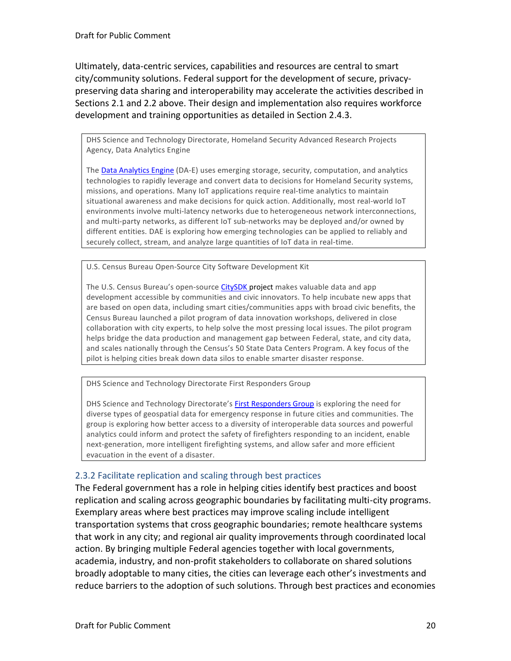Ultimately, data-centric services, capabilities and resources are central to smart city/community solutions. Federal support for the development of secure, privacypreserving data sharing and interoperability may accelerate the activities described in Sections 2.1 and 2.2 above. Their design and implementation also requires workforce development and training opportunities as detailed in Section 2.4.3.

DHS Science and Technology Directorate, Homeland Security Advanced Research Projects Agency, Data Analytics Engine

The [Data Analytics Engine](https://www.dhs.gov/science-and-technology/apex-data-analytics-engine) (DA-E) uses emerging storage, security, computation, and analytics technologies to rapidly leverage and convert data to decisions for Homeland Security systems, missions, and operations. Many IoT applications require real-time analytics to maintain situational awareness and make decisions for quick action. Additionally, most real-world IoT environments involve multi-latency networks due to heterogeneous network interconnections, and multi-party networks, as different IoT sub-networks may be deployed and/or owned by different entities. DAE is exploring how emerging technologies can be applied to reliably and securely collect, stream, and analyze large quantities of IoT data in real-time.

U.S. Census Bureau Open-Source City Software Development Kit

The U.S. Census Bureau's open-source [CitySDK p](https://uscensusbureau.github.io/citysdk/)roject makes valuable data and app development accessible by communities and civic innovators. To help incubate new apps that are based on open data, including smart cities/communities apps with broad civic benefits, the Census Bureau launched a pilot program of data innovation workshops, delivered in close collaboration with city experts, to help solve the most pressing local issues. The pilot program helps bridge the data production and management gap between Federal, state, and city data, and scales nationally through the Census's 50 State Data Centers Program. A key focus of the pilot is helping cities break down data silos to enable smarter disaster response.

DHS Science and Technology Directorate First Responders Group

DHS Science and Technology Directorate's [First Responders Group](https://www.dhs.gov/science-and-technology/first-responders) is exploring the need for diverse types of geospatial data for emergency response in future cities and communities. The group is exploring how better access to a diversity of interoperable data sources and powerful analytics could inform and protect the safety of firefighters responding to an incident, enable next-generation, more intelligent firefighting systems, and allow safer and more efficient evacuation in the event of a disaster.

#### 2.3.2 Facilitate replication and scaling through best practices

The Federal government has a role in helping cities identify best practices and boost replication and scaling across geographic boundaries by facilitating multi-city programs. Exemplary areas where best practices may improve scaling include intelligent transportation systems that cross geographic boundaries; remote healthcare systems that work in any city; and regional air quality improvements through coordinated local action. By bringing multiple Federal agencies together with local governments, academia, industry, and non-profit stakeholders to collaborate on shared solutions broadly adoptable to many cities, the cities can leverage each other's investments and reduce barriers to the adoption of such solutions. Through best practices and economies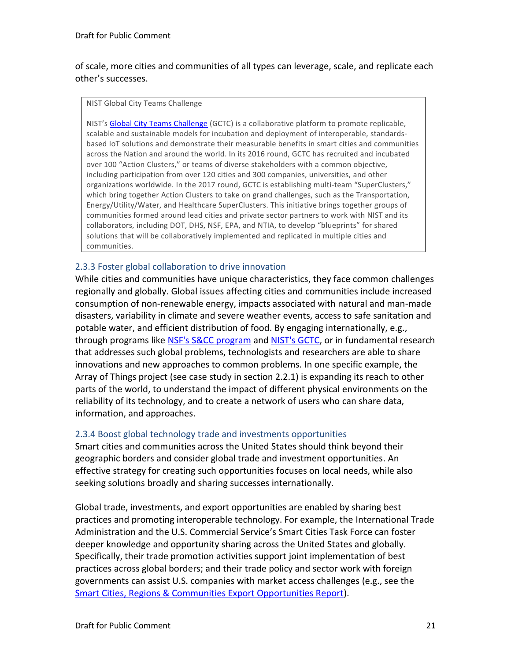of scale, more cities and communities of all types can leverage, scale, and replicate each other's successes.

#### NIST Global City Teams Challenge

NIST's [Global City Teams Challenge](https://www.nist.gov/el/cyber-physical-systems/smart-americaglobal-cities) (GCTC) is a collaborative platform to promote replicable, scalable and sustainable models for incubation and deployment of interoperable, standardsbased IoT solutions and demonstrate their measurable benefits in smart cities and communities across the Nation and around the world. In its 2016 round, GCTC has recruited and incubated over 100 "Action Clusters," or teams of diverse stakeholders with a common objective, including participation from over 120 cities and 300 companies, universities, and other organizations worldwide. In the 2017 round, GCTC is establishing multi-team "SuperClusters," which bring together Action Clusters to take on grand challenges, such as the Transportation, Energy/Utility/Water, and Healthcare SuperClusters. This initiative brings together groups of communities formed around lead cities and private sector partners to work with NIST and its collaborators, including DOT, DHS, NSF, EPA, and NTIA, to develop "blueprints" for shared solutions that will be collaboratively implemented and replicated in multiple cities and communities.

#### 2.3.3 Foster global collaboration to drive innovation

While cities and communities have unique characteristics, they face common challenges regionally and globally. Global issues affecting cities and communities include increased consumption of non-renewable energy, impacts associated with natural and man-made disasters, variability in climate and severe weather events, access to safe sanitation and potable water, and efficient distribution of food. By engaging internationally, e.g., through programs like [NSF's S&CC program](https://www.nsf.gov/funding/pgm_summ.jsp?pims_id=505364) an[d NIST's GCTC,](https://www.nist.gov/el/cyber-physical-systems/smart-americaglobal-cities) or in fundamental research that addresses such global problems, technologists and researchers are able to share innovations and new approaches to common problems. In one specific example, the Array of Things project (see case study in section 2.2.1) is expanding its reach to other parts of the world, to understand the impact of different physical environments on the reliability of its technology, and to create a network of users who can share data, information, and approaches.

#### 2.3.4 Boost global technology trade and investments opportunities

Smart cities and communities across the United States should think beyond their geographic borders and consider global trade and investment opportunities. An effective strategy for creating such opportunities focuses on local needs, while also seeking solutions broadly and sharing successes internationally.

Global trade, investments, and export opportunities are enabled by sharing best practices and promoting interoperable technology. For example, the International Trade Administration and the U.S. Commercial Service's Smart Cities Task Force can foster deeper knowledge and opportunity sharing across the United States and globally. Specifically, their trade promotion activities support joint implementation of best practices across global borders; and their trade policy and sector work with foreign governments can assist U.S. companies with market access challenges (e.g., see the [Smart Cities, Regions & Communities Export Opportunities Report\)](https://www.export.gov/smartcities).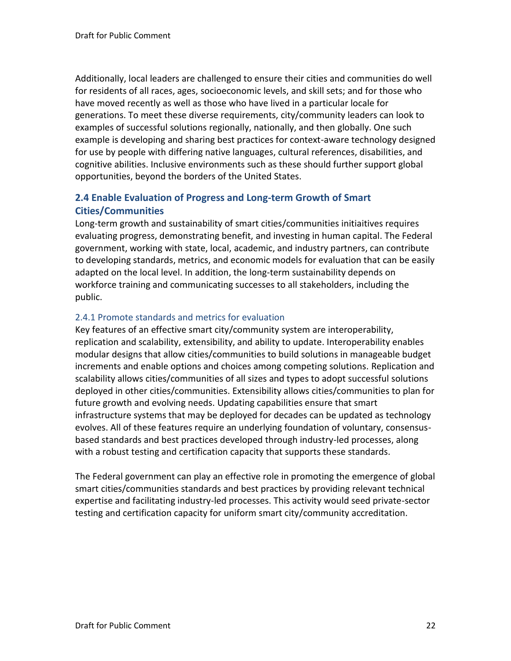Additionally, local leaders are challenged to ensure their cities and communities do well for residents of all races, ages, socioeconomic levels, and skill sets; and for those who have moved recently as well as those who have lived in a particular locale for generations. To meet these diverse requirements, city/community leaders can look to examples of successful solutions regionally, nationally, and then globally. One such example is developing and sharing best practices for context-aware technology designed for use by people with differing native languages, cultural references, disabilities, and cognitive abilities. Inclusive environments such as these should further support global opportunities, beyond the borders of the United States.

#### **2.4 Enable Evaluation of Progress and Long-term Growth of Smart Cities/Communities**

Long-term growth and sustainability of smart cities/communities initiaitives requires evaluating progress, demonstrating benefit, and investing in human capital. The Federal government, working with state, local, academic, and industry partners, can contribute to developing standards, metrics, and economic models for evaluation that can be easily adapted on the local level. In addition, the long-term sustainability depends on workforce training and communicating successes to all stakeholders, including the public.

#### 2.4.1 Promote standards and metrics for evaluation

Key features of an effective smart city/community system are interoperability, replication and scalability, extensibility, and ability to update. Interoperability enables modular designs that allow cities/communities to build solutions in manageable budget increments and enable options and choices among competing solutions. Replication and scalability allows cities/communities of all sizes and types to adopt successful solutions deployed in other cities/communities. Extensibility allows cities/communities to plan for future growth and evolving needs. Updating capabilities ensure that smart infrastructure systems that may be deployed for decades can be updated as technology evolves. All of these features require an underlying foundation of voluntary, consensusbased standards and best practices developed through industry-led processes, along with a robust testing and certification capacity that supports these standards.

The Federal government can play an effective role in promoting the emergence of global smart cities/communities standards and best practices by providing relevant technical expertise and facilitating industry-led processes. This activity would seed private-sector testing and certification capacity for uniform smart city/community accreditation.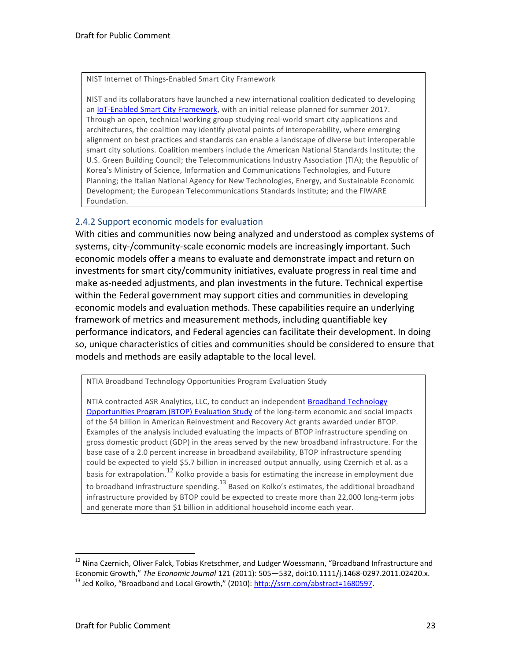NIST Internet of Things-Enabled Smart City Framework

NIST and its collaborators have launched a new international coalition dedicated to developing an **IoT-Enabled Smart City Framework**, with an initial release planned for summer 2017. Through an open, technical working group studying real-world smart city applications and architectures, the coalition may identify pivotal points of interoperability, where emerging alignment on best practices and standards can enable a landscape of diverse but interoperable smart city solutions. Coalition members include the American National Standards Institute; the U.S. Green Building Council; the Telecommunications Industry Association (TIA); the Republic of Korea's Ministry of Science, Information and Communications Technologies, and Future Planning; the Italian National Agency for New Technologies, Energy, and Sustainable Economic Development; the European Telecommunications Standards Institute; and the FIWARE Foundation.

#### 2.4.2 Support economic models for evaluation

With cities and communities now being analyzed and understood as complex systems of systems, city-/community-scale economic models are increasingly important. Such economic models offer a means to evaluate and demonstrate impact and return on investments for smart city/community initiatives, evaluate progress in real time and make as-needed adjustments, and plan investments in the future. Technical expertise within the Federal government may support cities and communities in developing economic models and evaluation methods. These capabilities require an underlying framework of metrics and measurement methods, including quantifiable key performance indicators, and Federal agencies can facilitate their development. In doing so, unique characteristics of cities and communities should be considered to ensure that models and methods are easily adaptable to the local level.

NTIA Broadband Technology Opportunities Program Evaluation Study

NTIA contracted ASR Analytics, LLC, to conduct an independen[t Broadband Technology](https://www.ntia.doc.gov/files/ntia/publications/asr_final_report.pdf)  [Opportunities Program \(BTOP\) Evaluation Study](https://www.ntia.doc.gov/files/ntia/publications/asr_final_report.pdf) of the long-term economic and social impacts of the \$4 billion in American Reinvestment and Recovery Act grants awarded under BTOP. Examples of the analysis included evaluating the impacts of BTOP infrastructure spending on gross domestic product (GDP) in the areas served by the new broadband infrastructure. For the base case of a 2.0 percent increase in broadband availability, BTOP infrastructure spending could be expected to yield \$5.7 billion in increased output annually, using Czernich et al. as a basis for extrapolation.<sup>12</sup> Kolko provide a basis for estimating the increase in employment due to broadband infrastructure spending.<sup>13</sup> Based on Kolko's estimates, the additional broadband infrastructure provided by BTOP could be expected to create more than 22,000 long-term jobs and generate more than \$1 billion in additional household income each year.

<sup>&</sup>lt;sup>12</sup> Nina Czernich, Oliver Falck, Tobias Kretschmer, and Ludger Woessmann, "Broadband Infrastructure and Economic Growth," *The Economic Journal* 121 (2011): 505—532, doi:10.1111/j.1468-0297.2011.02420.x.  $^{13}$  Jed Kolko, "Broadband and Local Growth," (2010): [http://ssrn.com/abstract=1680597.](http://ssrn.com/abstract=1680597)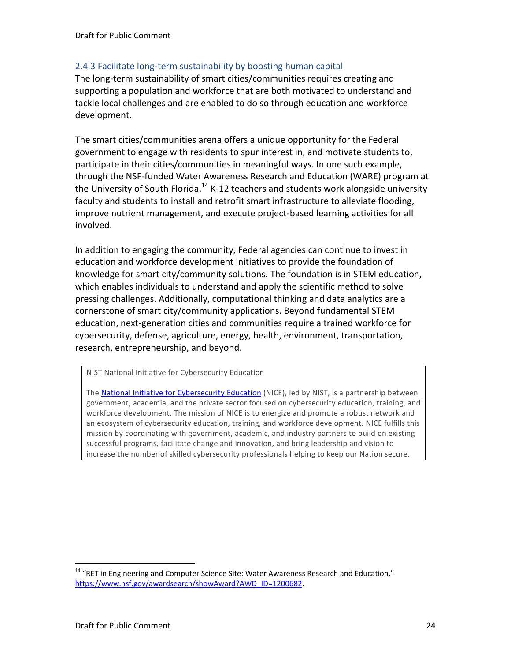#### 2.4.3 Facilitate long-term sustainability by boosting human capital

The long-term sustainability of smart cities/communities requires creating and supporting a population and workforce that are both motivated to understand and tackle local challenges and are enabled to do so through education and workforce development.

The smart cities/communities arena offers a unique opportunity for the Federal government to engage with residents to spur interest in, and motivate students to, participate in their cities/communities in meaningful ways. In one such example, through the NSF-funded Water Awareness Research and Education (WARE) program at the University of South Florida, $^{14}$  K-12 teachers and students work alongside university faculty and students to install and retrofit smart infrastructure to alleviate flooding, improve nutrient management, and execute project-based learning activities for all involved.

In addition to engaging the community, Federal agencies can continue to invest in education and workforce development initiatives to provide the foundation of knowledge for smart city/community solutions. The foundation is in STEM education, which enables individuals to understand and apply the scientific method to solve pressing challenges. Additionally, computational thinking and data analytics are a cornerstone of smart city/community applications. Beyond fundamental STEM education, next-generation cities and communities require a trained workforce for cybersecurity, defense, agriculture, energy, health, environment, transportation, research, entrepreneurship, and beyond.

NIST National Initiative for Cybersecurity Education

The [National Initiative for Cybersecurity Education](http://csrc.nist.gov/nice/) (NICE), led by NIST, is a partnership between government, academia, and the private sector focused on cybersecurity education, training, and workforce development. The mission of NICE is to energize and promote a robust network and an ecosystem of cybersecurity education, training, and workforce development. NICE fulfills this mission by coordinating with government, academic, and industry partners to build on existing successful programs, facilitate change and innovation, and bring leadership and vision to increase the number of skilled cybersecurity professionals helping to keep our Nation secure.

 $14$  "RET in Engineering and Computer Science Site: Water Awareness Research and Education," [https://www.nsf.gov/awardsearch/showAward?AWD\\_ID=1200682.](https://www.nsf.gov/awardsearch/showAward?AWD_ID=1200682)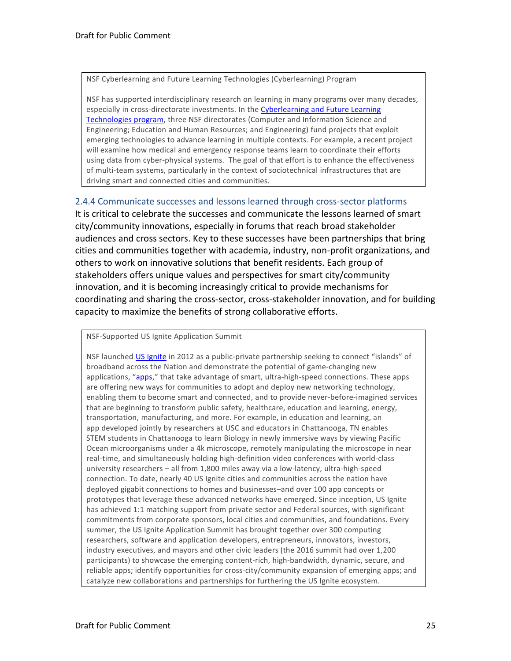NSF Cyberlearning and Future Learning Technologies (Cyberlearning) Program

NSF has supported interdisciplinary research on learning in many programs over many decades, especially in cross-directorate investments. In th[e Cyberlearning and Future Learning](https://www.nsf.gov/funding/pgm_summ.jsp?pims_id=504984)  [Technologies program,](https://www.nsf.gov/funding/pgm_summ.jsp?pims_id=504984) three NSF directorates (Computer and Information Science and Engineering; Education and Human Resources; and Engineering) fund projects that exploit emerging technologies to advance learning in multiple contexts. For example, a recent project will examine how medical and emergency response teams learn to coordinate their efforts using data from cyber-physical systems. The goal of that effort is to enhance the effectiveness of multi-team systems, particularly in the context of sociotechnical infrastructures that are driving smart and connected cities and communities.

#### 2.4.4 Communicate successes and lessons learned through cross-sector platforms

It is critical to celebrate the successes and communicate the lessons learned of smart city/community innovations, especially in forums that reach broad stakeholder audiences and cross sectors. Key to these successes have been partnerships that bring cities and communities together with academia, industry, non-profit organizations, and others to work on innovative solutions that benefit residents. Each group of stakeholders offers unique values and perspectives for smart city/community innovation, and it is becoming increasingly critical to provide mechanisms for coordinating and sharing the cross-sector, cross-stakeholder innovation, and for building capacity to maximize the benefits of strong collaborative efforts.

NSF-Supported US Ignite Application Summit

NSF launched [US Ignite](https://www.us-ignite.org/) in 2012 as a public-private partnership seeking to connect "islands" of broadband across the Nation and demonstrate the potential of game-changing new applications, "[apps](https://www.us-ignite.org/apps/)," that take advantage of smart, ultra-high-speed connections. These apps are offering new ways for communities to adopt and deploy new networking technology, enabling them to become smart and connected, and to provide never-before-imagined services that are beginning to transform public safety, healthcare, education and learning, energy, transportation, manufacturing, and more. For example, in education and learning, an app developed jointly by researchers at USC and educators in Chattanooga, TN enables STEM students in Chattanooga to learn Biology in newly immersive ways by viewing Pacific Ocean microorganisms under a 4k microscope, remotely manipulating the microscope in near real-time, and simultaneously holding high-definition video conferences with world-class university researchers – all from 1,800 miles away via a low-latency, ultra-high-speed connection. To date, nearly 40 US Ignite cities and communities across the nation have deployed gigabit connections to homes and businesses–and over 100 app concepts or prototypes that leverage these advanced networks have emerged. Since inception, US Ignite has achieved 1:1 matching support from private sector and Federal sources, with significant commitments from corporate sponsors, local cities and communities, and foundations. Every summer, the US Ignite Application Summit has brought together over 300 computing researchers, software and application developers, entrepreneurs, innovators, investors, industry executives, and mayors and other civic leaders (the 2016 summit had over 1,200 participants) to showcase the emerging content-rich, high-bandwidth, dynamic, secure, and reliable apps; identify opportunities for cross-city/community expansion of emerging apps; and catalyze new collaborations and partnerships for furthering the US Ignite ecosystem.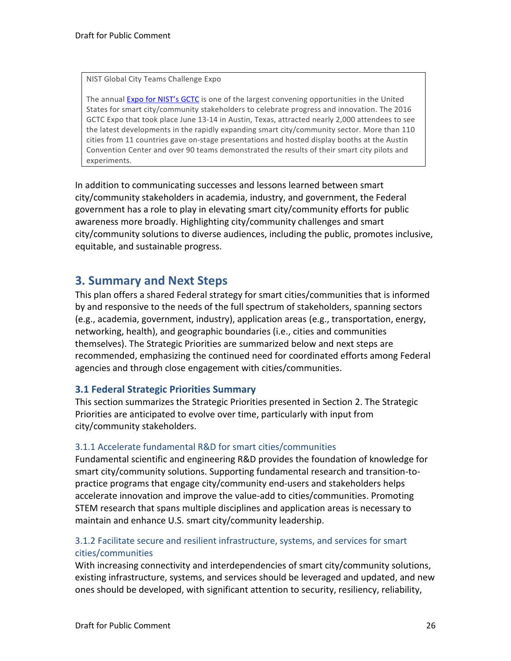NIST Global City Teams Challenge Expo

The annual [Expo for](http://www.gctcexpo.org/) NIST's GCTC is one of the largest convening opportunities in the United States for smart city/community stakeholders to celebrate progress and innovation. The 2016 GCTC Expo that took place June 13-14 in Austin, Texas, attracted nearly 2,000 attendees to see the latest developments in the rapidly expanding smart city/community sector. More than 110 cities from 11 countries gave on-stage presentations and hosted display booths at the Austin Convention Center and over 90 teams demonstrated the results of their smart city pilots and experiments.

In addition to communicating successes and lessons learned between smart city/community stakeholders in academia, industry, and government, the Federal government has a role to play in elevating smart city/community efforts for public awareness more broadly. Highlighting city/community challenges and smart city/community solutions to diverse audiences, including the public, promotes inclusive, equitable, and sustainable progress.

## **3. Summary and Next Steps**

This plan offers a shared Federal strategy for smart cities/communities that is informed by and responsive to the needs of the full spectrum of stakeholders, spanning sectors (e.g., academia, government, industry), application areas (e.g., transportation, energy, networking, health), and geographic boundaries (i.e., cities and communities themselves). The Strategic Priorities are summarized below and next steps are recommended, emphasizing the continued need for coordinated efforts among Federal agencies and through close engagement with cities/communities.

#### **3.1 Federal Strategic Priorities Summary**

This section summarizes the Strategic Priorities presented in Section 2. The Strategic Priorities are anticipated to evolve over time, particularly with input from city/community stakeholders.

#### 3.1.1 Accelerate fundamental R&D for smart cities/communities

Fundamental scientific and engineering R&D provides the foundation of knowledge for smart city/community solutions. Supporting fundamental research and transition-topractice programs that engage city/community end-users and stakeholders helps accelerate innovation and improve the value-add to cities/communities. Promoting STEM research that spans multiple disciplines and application areas is necessary to maintain and enhance U.S. smart city/community leadership.

#### 3.1.2 Facilitate secure and resilient infrastructure, systems, and services for smart cities/communities

With increasing connectivity and interdependencies of smart city/community solutions, existing infrastructure, systems, and services should be leveraged and updated, and new ones should be developed, with significant attention to security, resiliency, reliability,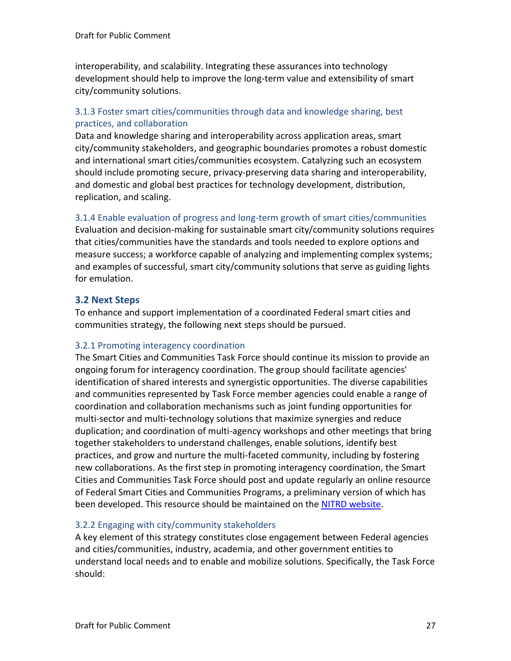interoperability, and scalability. Integrating these assurances into technology development should help to improve the long-term value and extensibility of smart city/community solutions.

#### 3.1.3 Foster smart cities/communities through data and knowledge sharing, best practices, and collaboration

Data and knowledge sharing and interoperability across application areas, smart city/community stakeholders, and geographic boundaries promotes a robust domestic and international smart cities/communities ecosystem. Catalyzing such an ecosystem should include promoting secure, privacy-preserving data sharing and interoperability, and domestic and global best practices for technology development, distribution, replication, and scaling.

#### 3.1.4 Enable evaluation of progress and long-term growth of smart cities/communities

Evaluation and decision-making for sustainable smart city/community solutions requires that cities/communities have the standards and tools needed to explore options and measure success; a workforce capable of analyzing and implementing complex systems; and examples of successful, smart city/community solutions that serve as guiding lights for emulation.

#### **3.2 Next Steps**

To enhance and support implementation of a coordinated Federal smart cities and communities strategy, the following next steps should be pursued.

#### 3.2.1 Promoting interagency coordination

The Smart Cities and Communities Task Force should continue its mission to provide an ongoing forum for interagency coordination. The group should facilitate agencies' identification of shared interests and synergistic opportunities. The diverse capabilities and communities represented by Task Force member agencies could enable a range of coordination and collaboration mechanisms such as joint funding opportunities for multi-sector and multi-technology solutions that maximize synergies and reduce duplication; and coordination of multi-agency workshops and other meetings that bring together stakeholders to understand challenges, enable solutions, identify best practices, and grow and nurture the multi-faceted community, including by fostering new collaborations. As the first step in promoting interagency coordination, the Smart Cities and Communities Task Force should post and update regularly an online resource of Federal Smart Cities and Communities Programs, a preliminary version of which has been developed. This resource should be maintained on the [NITRD website.](https://www.nitrd.gov/)

#### 3.2.2 Engaging with city/community stakeholders

A key element of this strategy constitutes close engagement between Federal agencies and cities/communities, industry, academia, and other government entities to understand local needs and to enable and mobilize solutions. Specifically, the Task Force should: